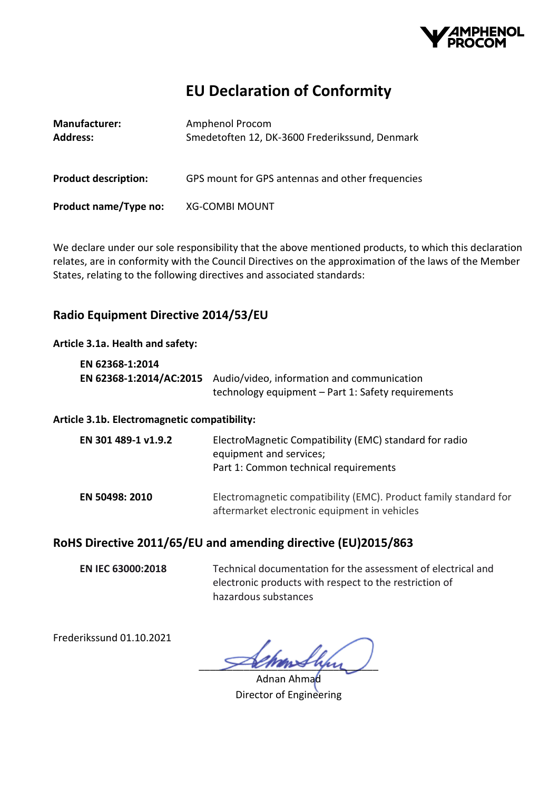

# **EU Declaration of Conformity**

| <b>Manufacturer:</b><br><b>Address:</b> | Amphenol Procom<br>Smedetoften 12, DK-3600 Frederikssund, Denmark |
|-----------------------------------------|-------------------------------------------------------------------|
| <b>Product description:</b>             | GPS mount for GPS antennas and other frequencies                  |
| Product name/Type no:                   | <b>XG-COMBI MOUNT</b>                                             |

We declare under our sole responsibility that the above mentioned products, to which this declaration relates, are in conformity with the Council Directives on the approximation of the laws of the Member States, relating to the following directives and associated standards:

### **Radio Equipment Directive 2014/53/EU**

### **Article 3.1a. Health and safety:**

| EN 62368-1:2014 |                                                                    |
|-----------------|--------------------------------------------------------------------|
|                 | EN 62368-1:2014/AC:2015 Audio/video, information and communication |
|                 | technology equipment – Part 1: Safety requirements                 |

### **Article 3.1b. Electromagnetic compatibility:**

| EN 301 489-1 v1.9.2 | ElectroMagnetic Compatibility (EMC) standard for radio<br>equipment and services;<br>Part 1: Common technical requirements |
|---------------------|----------------------------------------------------------------------------------------------------------------------------|
| EN 50498: 2010      | Electromagnetic compatibility (EMC). Product family standard for<br>aftermarket electronic equipment in vehicles           |

### **RoHS Directive 2011/65/EU and amending directive (EU)2015/863**

**EN IEC 63000:2018** Technical documentation for the assessment of electrical and electronic products with respect to the restriction of hazardous substances

Frederikssund 01.10.2021

 $\mathscr{J} h$ hn

Adnan Ahmad Director of Engineering